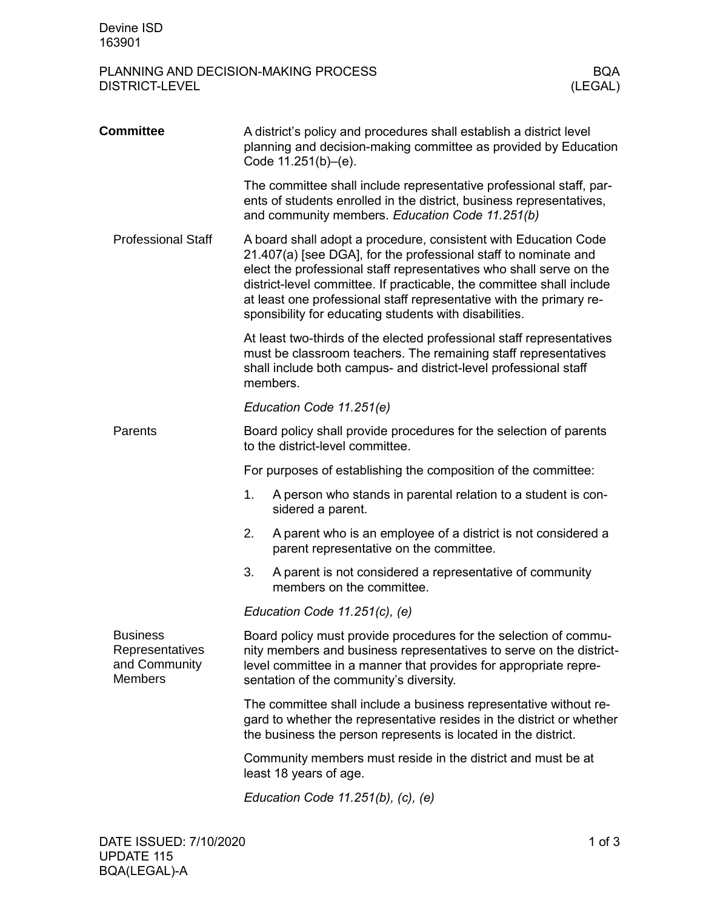## PLANNING AND DECISION-MAKING PROCESS BQA<br>DISTRICT-LEVEL (LEGAL) DISTRICT-LEVEL

| <b>Committee</b>                                                      | A district's policy and procedures shall establish a district level<br>planning and decision-making committee as provided by Education<br>Code 11.251(b)-(e).                                                                                                                                                                                                                                                       |  |  |  |
|-----------------------------------------------------------------------|---------------------------------------------------------------------------------------------------------------------------------------------------------------------------------------------------------------------------------------------------------------------------------------------------------------------------------------------------------------------------------------------------------------------|--|--|--|
|                                                                       | The committee shall include representative professional staff, par-<br>ents of students enrolled in the district, business representatives,<br>and community members. Education Code 11.251(b)                                                                                                                                                                                                                      |  |  |  |
| <b>Professional Staff</b>                                             | A board shall adopt a procedure, consistent with Education Code<br>21.407(a) [see DGA], for the professional staff to nominate and<br>elect the professional staff representatives who shall serve on the<br>district-level committee. If practicable, the committee shall include<br>at least one professional staff representative with the primary re-<br>sponsibility for educating students with disabilities. |  |  |  |
|                                                                       | At least two-thirds of the elected professional staff representatives<br>must be classroom teachers. The remaining staff representatives<br>shall include both campus- and district-level professional staff<br>members.                                                                                                                                                                                            |  |  |  |
|                                                                       | Education Code 11.251(e)                                                                                                                                                                                                                                                                                                                                                                                            |  |  |  |
| Parents                                                               | Board policy shall provide procedures for the selection of parents<br>to the district-level committee.                                                                                                                                                                                                                                                                                                              |  |  |  |
|                                                                       | For purposes of establishing the composition of the committee:                                                                                                                                                                                                                                                                                                                                                      |  |  |  |
|                                                                       | A person who stands in parental relation to a student is con-<br>1.<br>sidered a parent.                                                                                                                                                                                                                                                                                                                            |  |  |  |
|                                                                       | A parent who is an employee of a district is not considered a<br>2.<br>parent representative on the committee.                                                                                                                                                                                                                                                                                                      |  |  |  |
|                                                                       | A parent is not considered a representative of community<br>3.<br>members on the committee.                                                                                                                                                                                                                                                                                                                         |  |  |  |
|                                                                       | Education Code $11.251(c)$ , (e)                                                                                                                                                                                                                                                                                                                                                                                    |  |  |  |
| <b>Business</b><br>Representatives<br>and Community<br><b>Members</b> | Board policy must provide procedures for the selection of commu-<br>nity members and business representatives to serve on the district-<br>level committee in a manner that provides for appropriate repre-<br>sentation of the community's diversity.                                                                                                                                                              |  |  |  |
|                                                                       | The committee shall include a business representative without re-<br>gard to whether the representative resides in the district or whether<br>the business the person represents is located in the district.                                                                                                                                                                                                        |  |  |  |
|                                                                       | Community members must reside in the district and must be at<br>least 18 years of age.                                                                                                                                                                                                                                                                                                                              |  |  |  |
|                                                                       | Education Code $11.251(b)$ , (c), (e)                                                                                                                                                                                                                                                                                                                                                                               |  |  |  |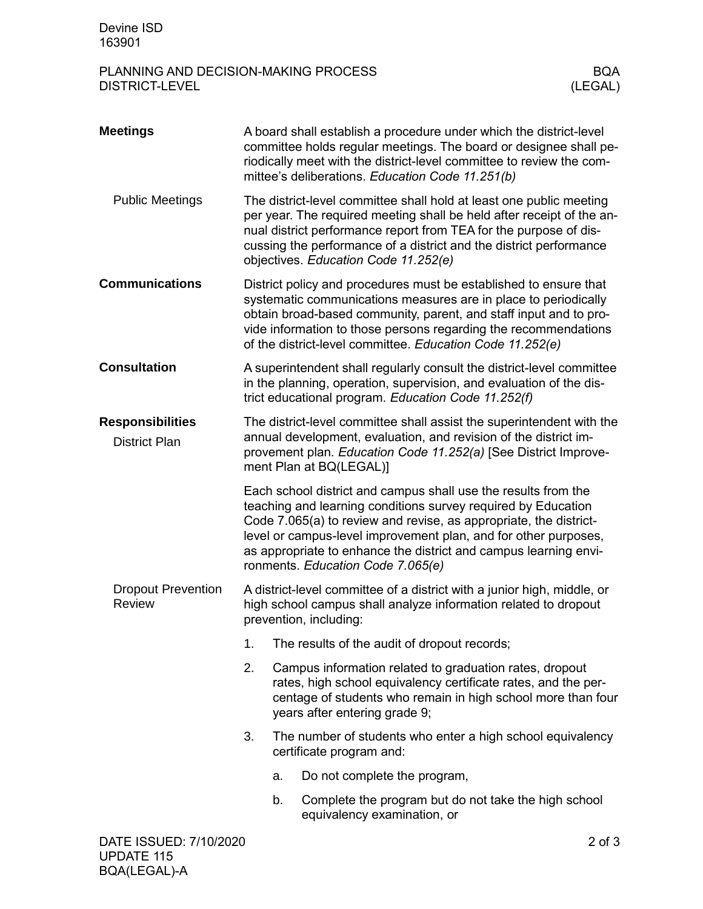## PLANNING AND DECISION-MAKING PROCESS BQA<br>DISTRICT-LEVEL (LEGAL) DISTRICT-LEVEL

| <b>Meetings</b>                                 |                                                                                                                                                                                                                                         | A board shall establish a procedure under which the district-level<br>committee holds regular meetings. The board or designee shall pe-<br>riodically meet with the district-level committee to review the com-<br>mittee's deliberations. Education Code 11.251(b)                                                                       |                                                                                                                                                                                                                                                                                                                                                                                  |  |  |  |
|-------------------------------------------------|-----------------------------------------------------------------------------------------------------------------------------------------------------------------------------------------------------------------------------------------|-------------------------------------------------------------------------------------------------------------------------------------------------------------------------------------------------------------------------------------------------------------------------------------------------------------------------------------------|----------------------------------------------------------------------------------------------------------------------------------------------------------------------------------------------------------------------------------------------------------------------------------------------------------------------------------------------------------------------------------|--|--|--|
| <b>Public Meetings</b>                          |                                                                                                                                                                                                                                         | The district-level committee shall hold at least one public meeting<br>per year. The required meeting shall be held after receipt of the an-<br>nual district performance report from TEA for the purpose of dis-<br>cussing the performance of a district and the district performance<br>objectives. Education Code 11.252(e)           |                                                                                                                                                                                                                                                                                                                                                                                  |  |  |  |
| <b>Communications</b>                           |                                                                                                                                                                                                                                         | District policy and procedures must be established to ensure that<br>systematic communications measures are in place to periodically<br>obtain broad-based community, parent, and staff input and to pro-<br>vide information to those persons regarding the recommendations<br>of the district-level committee. Education Code 11.252(e) |                                                                                                                                                                                                                                                                                                                                                                                  |  |  |  |
| <b>Consultation</b>                             | A superintendent shall regularly consult the district-level committee<br>in the planning, operation, supervision, and evaluation of the dis-<br>trict educational program. Education Code 11.252(f)                                     |                                                                                                                                                                                                                                                                                                                                           |                                                                                                                                                                                                                                                                                                                                                                                  |  |  |  |
| <b>Responsibilities</b><br><b>District Plan</b> | The district-level committee shall assist the superintendent with the<br>annual development, evaluation, and revision of the district im-<br>provement plan. Education Code 11.252(a) [See District Improve-<br>ment Plan at BQ(LEGAL)] |                                                                                                                                                                                                                                                                                                                                           |                                                                                                                                                                                                                                                                                                                                                                                  |  |  |  |
|                                                 |                                                                                                                                                                                                                                         |                                                                                                                                                                                                                                                                                                                                           | Each school district and campus shall use the results from the<br>teaching and learning conditions survey required by Education<br>Code 7.065(a) to review and revise, as appropriate, the district-<br>level or campus-level improvement plan, and for other purposes,<br>as appropriate to enhance the district and campus learning envi-<br>ronments. Education Code 7.065(e) |  |  |  |
| <b>Dropout Prevention</b><br><b>Review</b>      | A district-level committee of a district with a junior high, middle, or<br>high school campus shall analyze information related to dropout<br>prevention, including:                                                                    |                                                                                                                                                                                                                                                                                                                                           |                                                                                                                                                                                                                                                                                                                                                                                  |  |  |  |
|                                                 | 1.                                                                                                                                                                                                                                      |                                                                                                                                                                                                                                                                                                                                           | The results of the audit of dropout records;                                                                                                                                                                                                                                                                                                                                     |  |  |  |
|                                                 | 2.                                                                                                                                                                                                                                      |                                                                                                                                                                                                                                                                                                                                           | Campus information related to graduation rates, dropout<br>rates, high school equivalency certificate rates, and the per-<br>centage of students who remain in high school more than four<br>years after entering grade 9;                                                                                                                                                       |  |  |  |
|                                                 | 3.                                                                                                                                                                                                                                      |                                                                                                                                                                                                                                                                                                                                           | The number of students who enter a high school equivalency<br>certificate program and:                                                                                                                                                                                                                                                                                           |  |  |  |
|                                                 |                                                                                                                                                                                                                                         | a.                                                                                                                                                                                                                                                                                                                                        | Do not complete the program,                                                                                                                                                                                                                                                                                                                                                     |  |  |  |
|                                                 |                                                                                                                                                                                                                                         | b.                                                                                                                                                                                                                                                                                                                                        | Complete the program but do not take the high school<br>equivalency examination, or                                                                                                                                                                                                                                                                                              |  |  |  |
| DATE ISSUED: 7/10/2020                          |                                                                                                                                                                                                                                         |                                                                                                                                                                                                                                                                                                                                           | $2$ of $3$                                                                                                                                                                                                                                                                                                                                                                       |  |  |  |